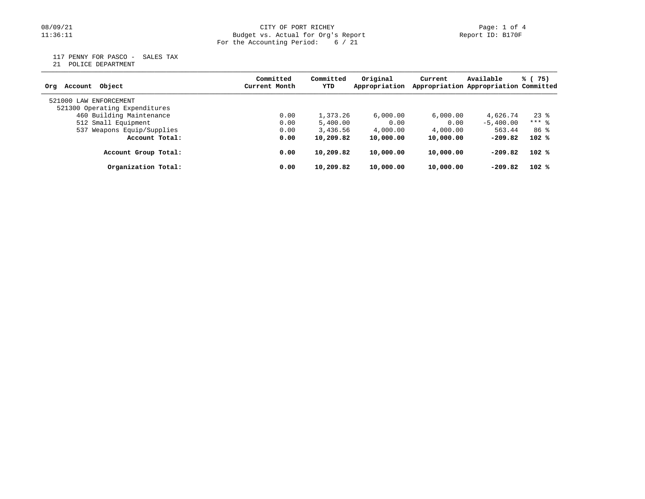## 08/09/21 CITY OF PORT RICHEY Page: 1 of 4 11:36:11 Budget vs. Actual for Org's Report Report ID: B170F For the Accounting Period: 6 / 21

117 PENNY FOR PASCO - SALES TAX

21 POLICE DEPARTMENT

| Account Object<br>Ora         | Committed<br>Current Month | Committed<br>YTD | Original<br>Appropriation | Current   | Available<br>Appropriation Appropriation Committed | % (75)  |
|-------------------------------|----------------------------|------------------|---------------------------|-----------|----------------------------------------------------|---------|
| 521000 LAW ENFORCEMENT        |                            |                  |                           |           |                                                    |         |
| 521300 Operating Expenditures |                            |                  |                           |           |                                                    |         |
| 460 Building Maintenance      | 0.00                       | 1,373.26         | 6.000.00                  | 6,000.00  | 4,626.74                                           | $23$ %  |
| 512 Small Equipment           | 0.00                       | 5,400.00         | 0.00                      | 0.00      | $-5,400.00$                                        | $***$ 8 |
| 537 Weapons Equip/Supplies    | 0.00                       | 3,436.56         | 4,000.00                  | 4,000.00  | 563.44                                             | 86 %    |
| Account Total:                | 0.00                       | 10,209.82        | 10,000.00                 | 10,000.00 | $-209.82$                                          | $102$ % |
| Account Group Total:          | 0.00                       | 10,209.82        | 10,000.00                 | 10,000.00 | $-209.82$                                          | 102%    |
| Organization Total:           | 0.00                       | 10,209.82        | 10,000.00                 | 10,000.00 | $-209.82$                                          | $102$ % |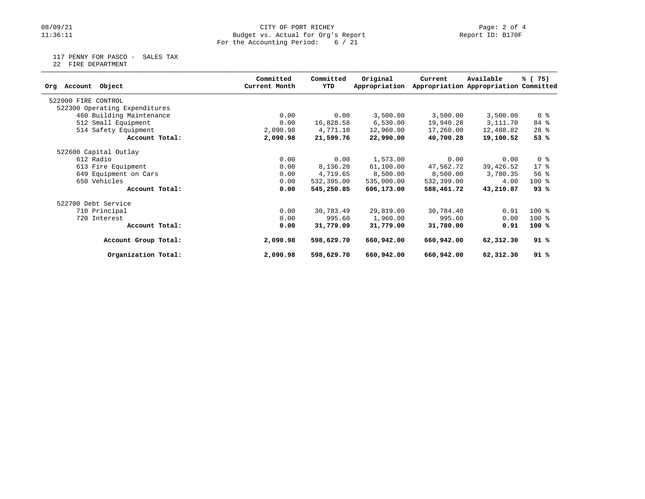## 08/09/21 CITY OF PORT RICHEY Page: 2 of 4<br>Budget vs. Actual for Org's Report Page: 2 Of 4<br>Report ID: B170F Budget vs. Actual for Org's Report For the Accounting Period: 6 / 21

117 PENNY FOR PASCO - SALES TAX

22 FIRE DEPARTMENT

| Object<br>Account<br>Org      | Committed<br>Current Month | Committed<br>YTD | Original<br>Appropriation | Current    | Available<br>Appropriation Appropriation Committed | % (75)         |
|-------------------------------|----------------------------|------------------|---------------------------|------------|----------------------------------------------------|----------------|
| 522000 FIRE CONTROL           |                            |                  |                           |            |                                                    |                |
| 522300 Operating Expenditures |                            |                  |                           |            |                                                    |                |
| 460 Building Maintenance      | 0.00                       | 0.00             | 3,500.00                  | 3,500.00   | 3,500.00                                           | 0 <sub>8</sub> |
| 512 Small Equipment           | 0.00                       | 16,828.58        | 6,530.00                  | 19,940.28  | 3,111.70                                           | 84 %           |
| 514 Safety Equipment          | 2,090.98                   | 4,771.18         | 12,960.00                 | 17,260.00  | 12,488.82                                          | $28$ $%$       |
| Account Total:                | 2,090.98                   | 21,599.76        | 22,990.00                 | 40,700.28  | 19,100.52                                          | 53 %           |
| 522600 Capital Outlay         |                            |                  |                           |            |                                                    |                |
| 612 Radio                     | 0.00                       | 0.00             | 1,573.00                  | 0.00       | 0.00                                               | 0 <sub>8</sub> |
| 613 Fire Equipment            | 0.00                       | 8,136.20         | 61,100.00                 | 47,562.72  | 39,426.52                                          | $17*$          |
| 649 Equipment on Cars         | 0.00                       | 4,719.65         | 8,500.00                  | 8,500.00   | 3,780.35                                           | 56%            |
| 650 Vehicles                  | 0.00                       | 532,395.00       | 535,000.00                | 532,399.00 | 4.00                                               | $100*$         |
| Account Total:                | 0.00                       | 545,250.85       | 606,173.00                | 588,461.72 | 43,210.87                                          | 93%            |
| 522700 Debt Service           |                            |                  |                           |            |                                                    |                |
| 710 Principal                 | 0.00                       | 30,783.49        | 29,819.00                 | 30,784.40  | 0.91                                               | 100 %          |
| 720 Interest                  | 0.00                       | 995.60           | 1,960.00                  | 995.60     | 0.00                                               | $100$ %        |
| Account Total:                | 0.00                       | 31,779.09        | 31,779.00                 | 31,780.00  | 0.91                                               | $100*$         |
| Account Group Total:          | 2,090.98                   | 598,629.70       | 660,942.00                | 660,942.00 | 62,312.30                                          | 91%            |
| Organization Total:           | 2,090.98                   | 598,629.70       | 660,942.00                | 660,942.00 | 62,312.30                                          | 91%            |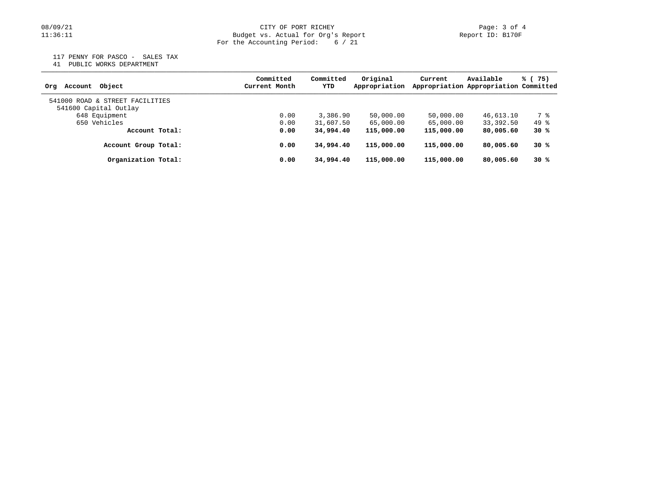## 08/09/21 CITY OF PORT RICHEY Page: 3 of 4<br>Budget vs. Actual for Org's Report Page: 1:36:11 Page: 1:36:11 Budget vs. Actual for Org's Report For the Accounting Period: 6 / 21

117 PENNY FOR PASCO - SALES TAX

41 PUBLIC WORKS DEPARTMENT

| Account Object<br>Ora                                    | Committed<br>Current Month | Committed<br>YTD | Original<br>Appropriation | Current    | Available<br>Appropriation Appropriation Committed | % (75) |
|----------------------------------------------------------|----------------------------|------------------|---------------------------|------------|----------------------------------------------------|--------|
| 541000 ROAD & STREET FACILITIES<br>541600 Capital Outlay |                            |                  |                           |            |                                                    |        |
| 648 Equipment                                            | 0.00                       | 3,386.90         | 50,000.00                 | 50,000.00  | 46,613.10                                          | 7 %    |
| 650 Vehicles                                             | 0.00                       | 31,607.50        | 65,000.00                 | 65,000.00  | 33,392.50                                          | 49 %   |
| Account Total:                                           | 0.00                       | 34,994.40        | 115,000.00                | 115,000.00 | 80,005.60                                          | 30%    |
| Account Group Total:                                     | 0.00                       | 34,994.40        | 115,000.00                | 115,000.00 | 80,005.60                                          | 30%    |
| Organization Total:                                      | 0.00                       | 34,994,40        | 115,000.00                | 115,000.00 | 80,005.60                                          | 30%    |